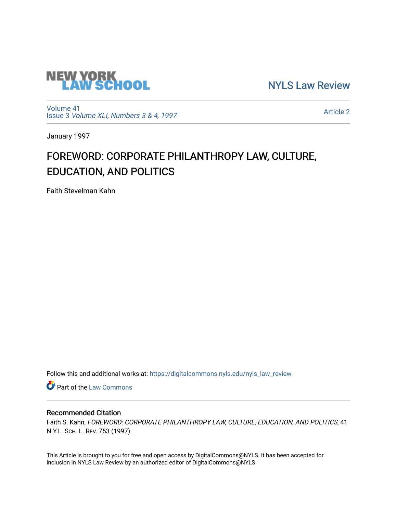

[NYLS Law Review](https://digitalcommons.nyls.edu/nyls_law_review) 

[Volume 41](https://digitalcommons.nyls.edu/nyls_law_review/vol41) Issue 3 [Volume XLI, Numbers 3 & 4, 1997](https://digitalcommons.nyls.edu/nyls_law_review/vol41/iss3)

[Article 2](https://digitalcommons.nyls.edu/nyls_law_review/vol41/iss3/2) 

January 1997

## FOREWORD: CORPORATE PHILANTHROPY LAW, CULTURE, EDUCATION, AND POLITICS

Faith Stevelman Kahn

Follow this and additional works at: [https://digitalcommons.nyls.edu/nyls\\_law\\_review](https://digitalcommons.nyls.edu/nyls_law_review?utm_source=digitalcommons.nyls.edu%2Fnyls_law_review%2Fvol41%2Fiss3%2F2&utm_medium=PDF&utm_campaign=PDFCoverPages) 

**Part of the [Law Commons](https://network.bepress.com/hgg/discipline/578?utm_source=digitalcommons.nyls.edu%2Fnyls_law_review%2Fvol41%2Fiss3%2F2&utm_medium=PDF&utm_campaign=PDFCoverPages)** 

## Recommended Citation

Faith S. Kahn, FOREWORD: CORPORATE PHILANTHROPY LAW, CULTURE, EDUCATION, AND POLITICS, 41 N.Y.L. SCH. L. REV. 753 (1997).

This Article is brought to you for free and open access by DigitalCommons@NYLS. It has been accepted for inclusion in NYLS Law Review by an authorized editor of DigitalCommons@NYLS.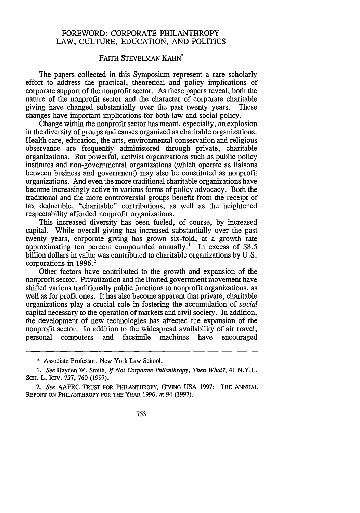## FOREWORD: CORPORATE PHILANTHROPY LAW, CULTURE, EDUCATION, AND POLITICS

## FAITH STEVELMAN KAHN

The papers collected in this Symposium represent a rare scholarly effort to address the practical, theoretical and policy implications of corporate support of the nonprofit sector. As these papers reveal, both the nature of the nonprofit sector and the character of corporate charitable giving have changed substantially over the past twenty years. These changes have important implications for both law and social policy.

Change within the nonprofit sector has meant, especially, an explosion in the diversity of groups and causes organized as charitable organizations. Health care, education, the arts, environmental conservation and religious observance are frequently administered through private, charitable organizations. But powerful, activist organizations such as public policy institutes and non-governmental organizations (which operate as liaisons between business and government) may also be constituted as nonprofit organizations. And even the more traditional charitable organizations have become increasingly active in various forms of policy advocacy. Both the traditional and the more controversial groups benefit from the receipt of tax deductible, "charitable" contributions, as well as the heightened respectability afforded nonprofit organizations.

This increased diversity has been fueled, of course, by increased capital. While overall giving has increased substantially over the past twenty years, corporate giving has grown six-fold, at a growth rate approximating ten percent compounded annually.' In excess of \$8.5 billion dollars in value was contributed to charitable organizations by U.S. corporations in 1996.<sup>2</sup>

Other factors have contributed to the growth and expansion of the nonprofit sector. Privatization and the limited government movement have shifted various traditionally public functions to nonprofit organizations, as well as for profit ones. It has also become apparent that private, charitable organizations play a crucial role in fostering the accumulation of *social* capital necessary to the operation of markets and civil society. In addition, the development of new technologies has affected the expansion of the nonprofit sector. In addition to the widespread availability of air travel, personal computers and facsimile machines have encouraged

<sup>\*</sup> Associate Professor, New York Law School.

*<sup>1.</sup> See* Hayden W. Smith, *If Not Corporate Philanthropy, Then What?,* 41 N.Y.L. **SCH. L.** REV. **757, 760 (1997).**

*<sup>2.</sup> See* AAFRC TRUST **FOR** PHILANTHROPY, GIVING **USA 1997:** THE **ANNUAL** REPORT **ON** PHILANTHROPY FOR THE YEAR **1996,** at 94 **(1997).**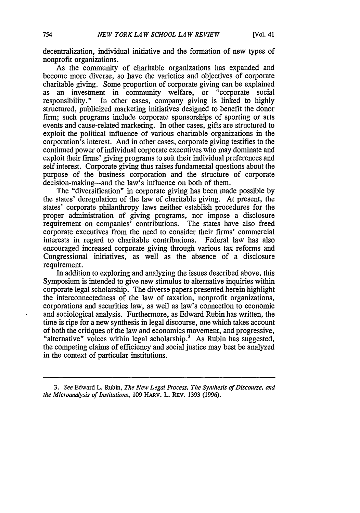decentralization, individual initiative and the formation of new types of nonprofit organizations.

As the community of charitable organizations has expanded and become more diverse, so have the varieties and objectives of corporate charitable giving. Some proportion of corporate giving can be explained as an investment in community welfare, or "corporate social responsibility." In other cases, company giving is linked to highly structured, publicized marketing initiatives designed to benefit the donor firm; such programs include corporate sponsorships of sporting or arts events and cause-related marketing. In other cases, gifts are structured to exploit the political influence of various charitable organizations in the corporation's interest. And in other cases, corporate giving testifies to the continued power of individual corporate executives who may dominate and exploit their firms' giving programs to suit their individual preferences and self interest. Corporate giving thus raises fundamental questions about the purpose of the business corporation and the structure of corporate decision-making—and the law's influence on both of them.

The "diversification" in corporate giving has been made possible by the states' deregulation of the law of charitable giving. At present, the states' corporate philanthropy laws neither establish procedures for the proper administration of giving programs, nor impose a disclosure requirement on companies' contributions. The states have also freed corporate executives from the need to consider their firms' commercial interests in regard to charitable contributions. Federal law has also encouraged increased corporate giving through various tax reforms and Congressional initiatives, as well as the absence of a disclosure requirement.

In addition to exploring and analyzing the issues described above, this Symposium is intended to give new stimulus to alternative inquiries within corporate legal scholarship. The diverse papers presented herein highlight the interconnectedness of the law of taxation, nonprofit organizations, corporations and securities law, as well as law's connection to economic and sociological analysis. Furthermore, as Edward Rubin has written, the time is ripe for a new synthesis in legal discourse, one which takes account of both the critiques of the law and economics movement, and progressive, "alternative" voices within legal scholarship.<sup>3</sup> As Rubin has suggested, the competing claims of efficiency and social justice may best be analyzed in the context of particular institutions.

*3. See* Edward L. Rubin, *The New Legal Process, The Synthesis of Discourse, and the Microanalysis of Institutions,* 109 HARv. L. REv. 1393 (1996).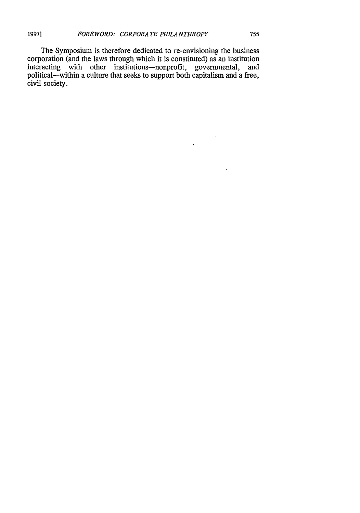The Symposium is therefore dedicated to re-envisioning the business corporation (and the laws through which it is constituted) as an institution interacting with other institutions--nonprofit, governmental, and political-within a culture that seeks to support both capitalism and a free, civil society.

 $\bar{\Delta}$ 

 $\epsilon$ 

 $\mathbf{r}$